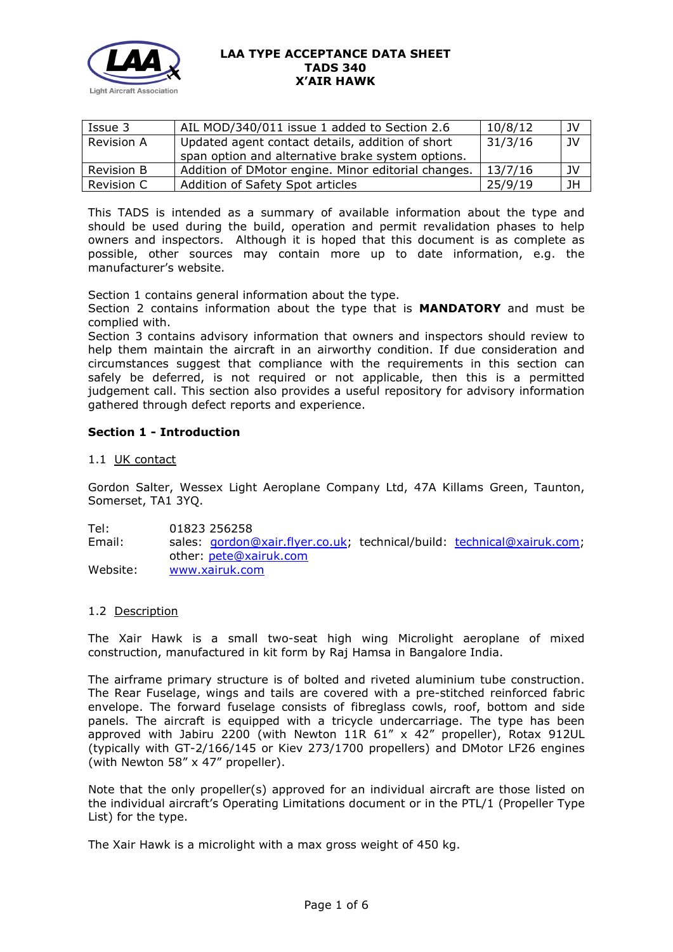

| Issue 3           | AIL MOD/340/011 issue 1 added to Section 2.6        | 10/8/12 | JV |
|-------------------|-----------------------------------------------------|---------|----|
| Revision A        | Updated agent contact details, addition of short    | 31/3/16 | JV |
|                   | span option and alternative brake system options.   |         |    |
| <b>Revision B</b> | Addition of DMotor engine. Minor editorial changes. | 13/7/16 | JV |
| <b>Revision C</b> | Addition of Safety Spot articles                    | 25/9/19 | JH |

This TADS is intended as a summary of available information about the type and should be used during the build, operation and permit revalidation phases to help owners and inspectors. Although it is hoped that this document is as complete as possible, other sources may contain more up to date information, e.g. the manufacturer's website.

Section 1 contains general information about the type.

Section 2 contains information about the type that is **MANDATORY** and must be complied with.

Section 3 contains advisory information that owners and inspectors should review to help them maintain the aircraft in an airworthy condition. If due consideration and circumstances suggest that compliance with the requirements in this section can safely be deferred, is not required or not applicable, then this is a permitted judgement call. This section also provides a useful repository for advisory information gathered through defect reports and experience.

## **Section 1 - Introduction**

## 1.1 UK contact

Gordon Salter, Wessex Light Aeroplane Company Ltd, 47A Killams Green, Taunton, Somerset, TA1 3YQ.

| Tel:     | 01823 256258                                                           |
|----------|------------------------------------------------------------------------|
| Email:   | sales: gordon@xair.flyer.co.uk; technical/build: technical@xairuk.com; |
|          | other: pete@xairuk.com                                                 |
| Website: | www.xairuk.com                                                         |

## 1.2 Description

The Xair Hawk is a small two-seat high wing Microlight aeroplane of mixed construction, manufactured in kit form by Raj Hamsa in Bangalore India.

The airframe primary structure is of bolted and riveted aluminium tube construction. The Rear Fuselage, wings and tails are covered with a pre-stitched reinforced fabric envelope. The forward fuselage consists of fibreglass cowls, roof, bottom and side panels. The aircraft is equipped with a tricycle undercarriage. The type has been approved with Jabiru 2200 (with Newton 11R 61" x 42" propeller), Rotax 912UL (typically with GT-2/166/145 or Kiev 273/1700 propellers) and DMotor LF26 engines (with Newton 58" x 47" propeller).

Note that the only propeller(s) approved for an individual aircraft are those listed on the individual aircraft's Operating Limitations document or in the PTL/1 (Propeller Type List) for the type.

The Xair Hawk is a microlight with a max gross weight of 450 kg.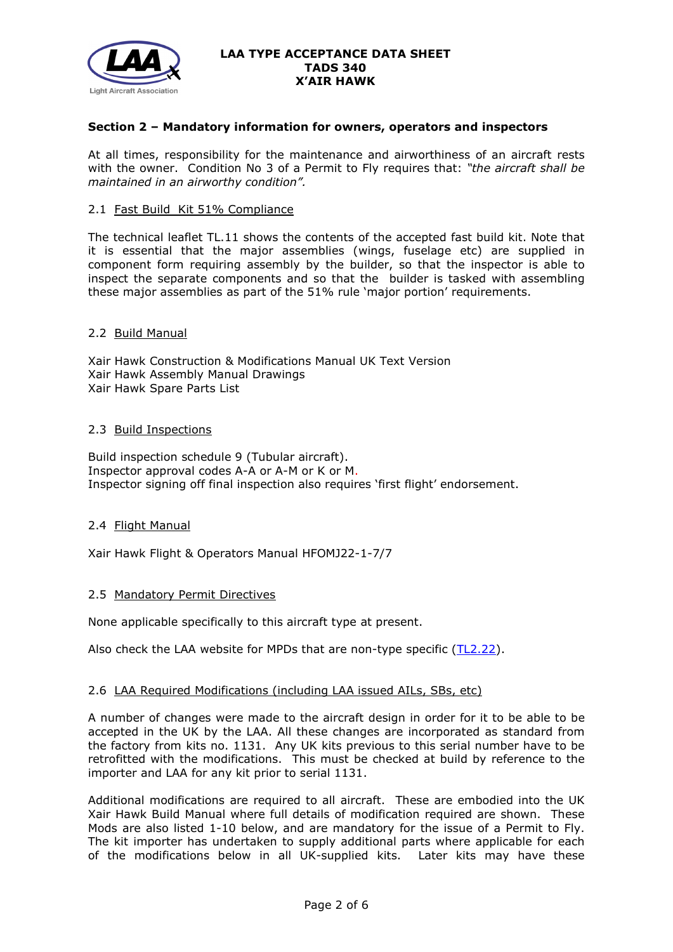

## **Section 2 – Mandatory information for owners, operators and inspectors**

At all times, responsibility for the maintenance and airworthiness of an aircraft rests with the owner. Condition No 3 of a Permit to Fly requires that: *"the aircraft shall be maintained in an airworthy condition".* 

### 2.1 Fast Build Kit 51% Compliance

The technical leaflet TL.11 shows the contents of the accepted fast build kit. Note that it is essential that the major assemblies (wings, fuselage etc) are supplied in component form requiring assembly by the builder, so that the inspector is able to inspect the separate components and so that the builder is tasked with assembling these major assemblies as part of the 51% rule 'major portion' requirements.

#### 2.2 Build Manual

Xair Hawk Construction & Modifications Manual UK Text Version Xair Hawk Assembly Manual Drawings Xair Hawk Spare Parts List

#### 2.3 Build Inspections

Build inspection schedule 9 (Tubular aircraft). Inspector approval codes A-A or A-M or K or M. Inspector signing off final inspection also requires 'first flight' endorsement.

#### 2.4 Flight Manual

Xair Hawk Flight & Operators Manual HFOMJ22-1-7/7

#### 2.5 Mandatory Permit Directives

None applicable specifically to this aircraft type at present.

Also check the LAA website for MPDs that are non-type specific [\(TL2.22\)](http://www.lightaircraftassociation.co.uk/engineering/TechnicalLeaflets/Operating%20An%20Aircraft/TL%202.22%20non-type%20specific%20MPDs.pdf).

## 2.6 LAA Required Modifications (including LAA issued AILs, SBs, etc)

A number of changes were made to the aircraft design in order for it to be able to be accepted in the UK by the LAA. All these changes are incorporated as standard from the factory from kits no. 1131. Any UK kits previous to this serial number have to be retrofitted with the modifications. This must be checked at build by reference to the importer and LAA for any kit prior to serial 1131.

Additional modifications are required to all aircraft. These are embodied into the UK Xair Hawk Build Manual where full details of modification required are shown. These Mods are also listed 1-10 below, and are mandatory for the issue of a Permit to Fly. The kit importer has undertaken to supply additional parts where applicable for each of the modifications below in all UK-supplied kits. Later kits may have these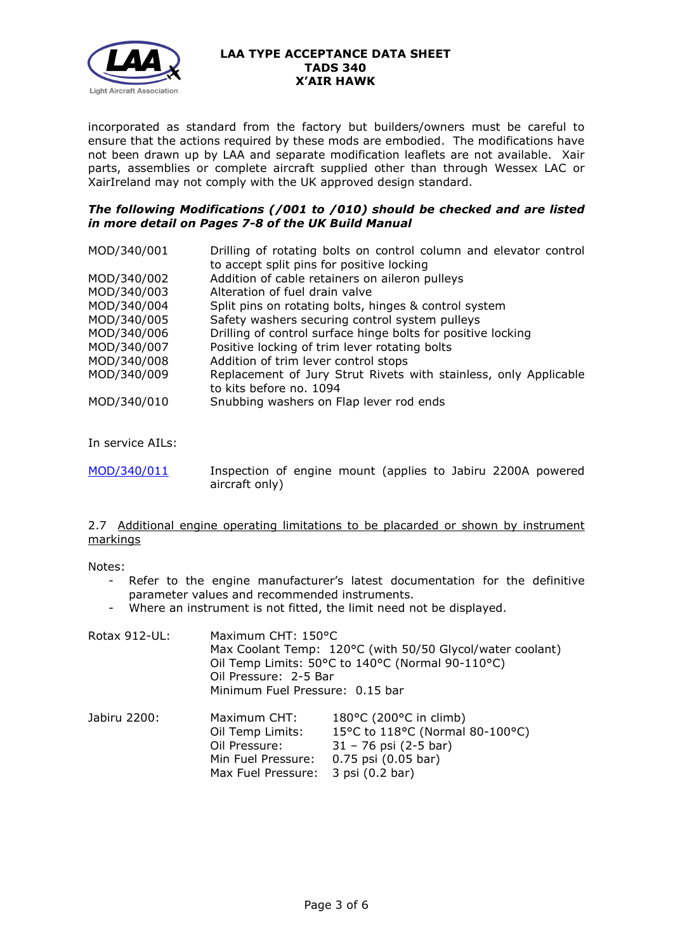

incorporated as standard from the factory but builders/owners must be careful to ensure that the actions required by these mods are embodied. The modifications have not been drawn up by LAA and separate modification leaflets are not available. Xair parts, assemblies or complete aircraft supplied other than through Wessex LAC or XairIreland may not comply with the UK approved design standard.

## *The following Modifications (/001 to /010) should be checked and are listed in more detail on Pages 7-8 of the UK Build Manual*

| Drilling of rotating bolts on control column and elevator control |
|-------------------------------------------------------------------|
|                                                                   |
|                                                                   |
|                                                                   |
|                                                                   |
|                                                                   |
|                                                                   |
|                                                                   |
|                                                                   |
| Replacement of Jury Strut Rivets with stainless, only Applicable  |
|                                                                   |
|                                                                   |
|                                                                   |

In service AILs:

| MOD/340/011 | Inspection of engine mount (applies to Jabiru 2200A powered |  |  |  |  |
|-------------|-------------------------------------------------------------|--|--|--|--|
|             | aircraft only)                                              |  |  |  |  |

#### 2.7 Additional engine operating limitations to be placarded or shown by instrument markings

Notes:

- Refer to the engine manufacturer's latest documentation for the definitive parameter values and recommended instruments.
- Where an instrument is not fitted, the limit need not be displayed.

| Rotax 912-UL: | Maximum CHT: 150°C<br>Oil Pressure: 2-5 Bar<br>Minimum Fuel Pressure: 0.15 bar                | Max Coolant Temp: 120°C (with 50/50 Glycol/water coolant)<br>Oil Temp Limits: 50°C to 140°C (Normal 90-110°C)                  |
|---------------|-----------------------------------------------------------------------------------------------|--------------------------------------------------------------------------------------------------------------------------------|
| Jabiru 2200:  | Maximum CHT:<br>Oil Temp Limits:<br>Oil Pressure:<br>Min Fuel Pressure:<br>Max Fuel Pressure: | 180°C (200°C in climb)<br>15°C to 118°C (Normal 80-100°C)<br>$31 - 76$ psi (2-5 bar)<br>0.75 psi (0.05 bar)<br>3 psi (0.2 bar) |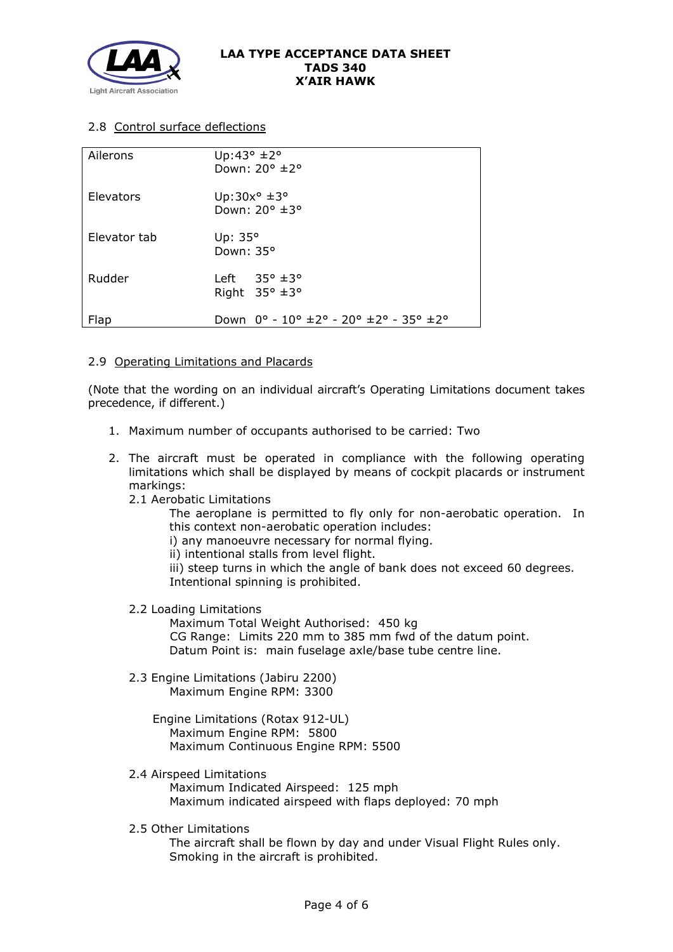

# 2.8 Control surface deflections

| Ailerons     | Up:43 $\degree$ ±2 $\degree$<br>Down: 20° ±2°               |
|--------------|-------------------------------------------------------------|
| Elevators    | Up:30 $x^{\circ}$ ±3°<br>Down: 20° ±3°                      |
| Elevator tab | Up: $35^\circ$<br>Down: $35^\circ$                          |
| Rudder       | Left $35^\circ \pm 3^\circ$<br>Right $35^\circ \pm 3^\circ$ |
| Flap         | Down $0^{\circ}$ - $10^{\circ}$ ±2° - 20° ±2° - 35° ±2°     |

## 2.9 Operating Limitations and Placards

(Note that the wording on an individual aircraft's Operating Limitations document takes precedence, if different.)

- 1. Maximum number of occupants authorised to be carried: Two
- 2. The aircraft must be operated in compliance with the following operating limitations which shall be displayed by means of cockpit placards or instrument markings:
	- 2.1 Aerobatic Limitations

The aeroplane is permitted to fly only for non-aerobatic operation. In this context non-aerobatic operation includes:

i) any manoeuvre necessary for normal flying.

ii) intentional stalls from level flight.

- iii) steep turns in which the angle of bank does not exceed 60 degrees. Intentional spinning is prohibited.
- 2.2 Loading Limitations

Maximum Total Weight Authorised: 450 kg CG Range: Limits 220 mm to 385 mm fwd of the datum point. Datum Point is: main fuselage axle/base tube centre line.

- 2.3 Engine Limitations (Jabiru 2200) Maximum Engine RPM: 3300
	- Engine Limitations (Rotax 912-UL) Maximum Engine RPM: 5800 Maximum Continuous Engine RPM: 5500
- 2.4 Airspeed Limitations

Maximum Indicated Airspeed: 125 mph Maximum indicated airspeed with flaps deployed: 70 mph

2.5 Other Limitations

The aircraft shall be flown by day and under Visual Flight Rules only. Smoking in the aircraft is prohibited.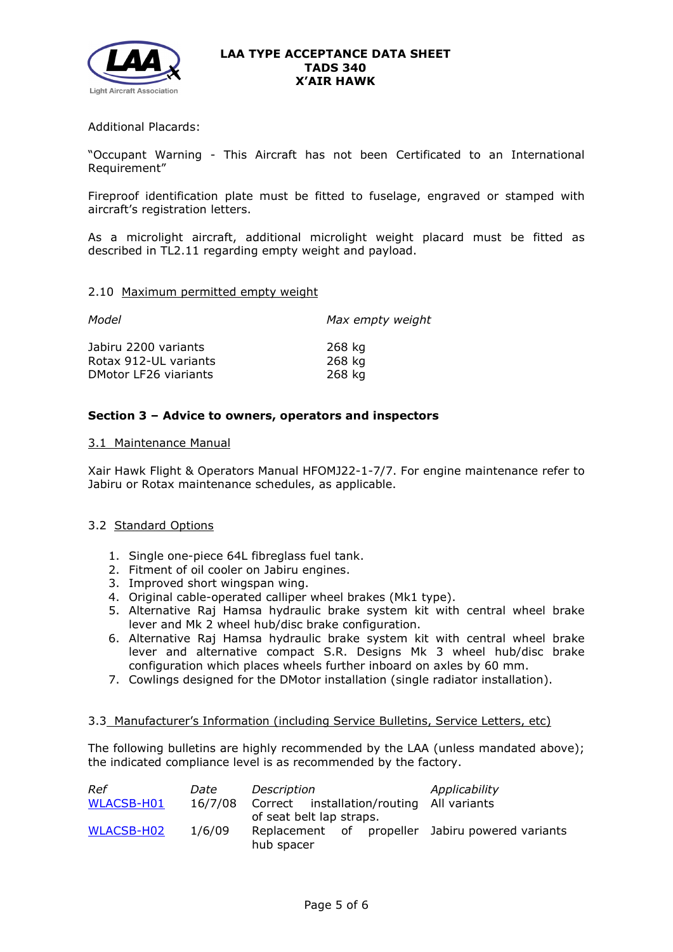

## Additional Placards:

"Occupant Warning - This Aircraft has not been Certificated to an International Requirement"

Fireproof identification plate must be fitted to fuselage, engraved or stamped with aircraft's registration letters.

As a microlight aircraft, additional microlight weight placard must be fitted as described in TL2.11 regarding empty weight and payload.

#### 2.10 Maximum permitted empty weight

| Max empty weight |
|------------------|
| 268 kg           |
| 268 kg           |
| 268 kg           |
|                  |

## **Section 3 – Advice to owners, operators and inspectors**

#### 3.1 Maintenance Manual

Xair Hawk Flight & Operators Manual HFOMJ22-1-7/7. For engine maintenance refer to Jabiru or Rotax maintenance schedules, as applicable.

## 3.2 Standard Options

- 1. Single one-piece 64L fibreglass fuel tank.
- 2. Fitment of oil cooler on Jabiru engines.
- 3. Improved short wingspan wing.
- 4. Original cable-operated calliper wheel brakes (Mk1 type).
- 5. Alternative Raj Hamsa hydraulic brake system kit with central wheel brake lever and Mk 2 wheel hub/disc brake configuration.
- 6. Alternative Raj Hamsa hydraulic brake system kit with central wheel brake lever and alternative compact S.R. Designs Mk 3 wheel hub/disc brake configuration which places wheels further inboard on axles by 60 mm.
- 7. Cowlings designed for the DMotor installation (single radiator installation).

## 3.3 Manufacturer's Information (including Service Bulletins, Service Letters, etc)

The following bulletins are highly recommended by the LAA (unless mandated above); the indicated compliance level is as recommended by the factory.

| Ref               | Date    | Description                                                    | Applicability |
|-------------------|---------|----------------------------------------------------------------|---------------|
| <b>WLACSB-H01</b> | 16/7/08 | Correct installation/routing All variants                      |               |
|                   |         | of seat belt lap straps.                                       |               |
| WLACSB-H02        | 1/6/09  | Replacement of propeller Jabiru powered variants<br>hub spacer |               |